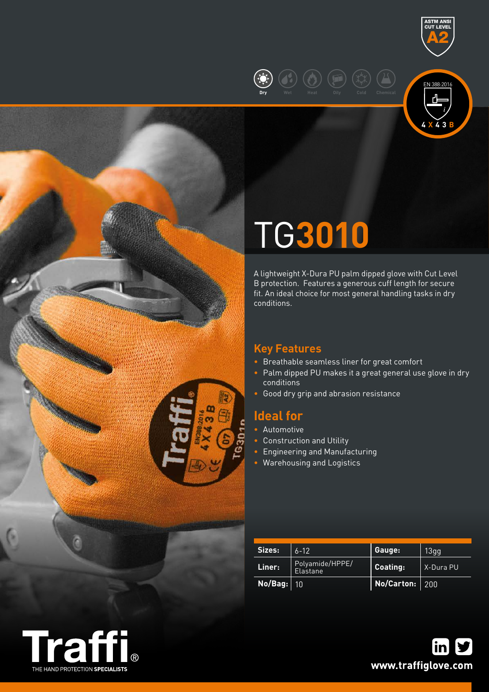





# TG**3010**

A lightweight X-Dura PU palm dipped glove with Cut Level B protection. Features a generous cuff length for secure fit. An ideal choice for most general handling tasks in dry conditions.

## **Key Features**

- Breathable seamless liner for great comfort
- Palm dipped PU makes it a great general use glove in dry conditions
- Good dry grip and abrasion resistance

## **Ideal for**

 $\frac{a}{3}$ 

- Automotive
- Construction and Utility
- Engineering and Manufacturing
- Warehousing and Logistics

| Sizes:  | $6 - 12$                    | Gauge:                  | 13gg      |  |
|---------|-----------------------------|-------------------------|-----------|--|
| Liner:  | Polyamide/HPPE/<br>Elastane | Coating:                | X-Dura PU |  |
| No/Bag: | 10                          | <b>No/Carton:</b>   200 |           |  |